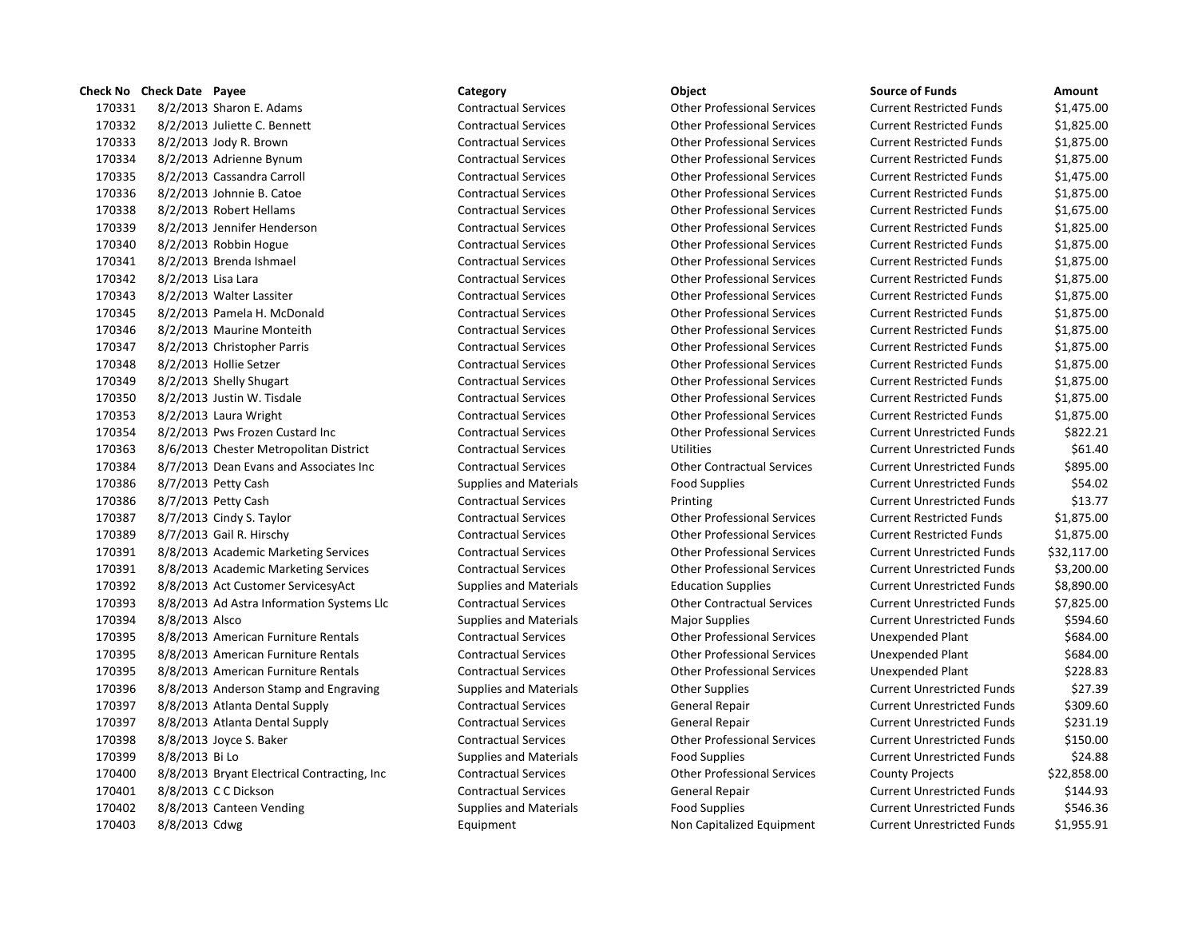## **Check No Check Date Payee Category Category Category Category Object Canadia Constructed Amount**  8/2/2013 Sharon E. Adams Contractual Services Other Professional Services Current Restricted Funds \$1,475.00 8/2/2013 Juliette C. Bennett Contractual Services Other Professional Services Current Restricted Funds \$1,825.00 8/2/2013 Jody R. Brown Contractual Services Other Professional Services Current Restricted Funds \$1,875.00 8/2/2013 Adrienne Bynum Contractual Services Other Professional Services Current Restricted Funds \$1,875.00 8/2/2013 Cassandra Carroll Contractual Services Other Professional Services Current Restricted Funds \$1,475.00 8/2/2013 Johnnie B. Catoe Contractual Services Other Professional Services Current Restricted Funds \$1,875.00 8/2/2013 Robert Hellams Contractual Services Other Professional Services Current Restricted Funds \$1,675.00 8/2/2013 Jennifer Henderson Contractual Services Other Professional Services Current Restricted Funds \$1,825.00 8/2/2013 Robbin Hogue Contractual Services Other Professional Services Current Restricted Funds \$1,875.00 8/2/2013 Brenda Ishmael Contractual Services Other Professional Services Current Restricted Funds \$1,875.00 8/2/2013 Lisa Lara Contractual Services Other Professional Services Current Restricted Funds \$1,875.00 8/2/2013 Walter Lassiter Contractual Services Other Professional Services Current Restricted Funds \$1,875.00 8/2/2013 Pamela H. McDonald Contractual Services Other Professional Services Current Restricted Funds \$1,875.00 8/2/2013 Maurine Monteith Contractual Services Other Professional Services Current Restricted Funds \$1,875.00 8/2/2013 Christopher Parris Contractual Services Other Professional Services Current Restricted Funds \$1,875.00 8/2/2013 Hollie Setzer Contractual Services Other Professional Services Current Restricted Funds \$1,875.00 8/2/2013 Shelly Shugart Contractual Services Other Professional Services Current Restricted Funds \$1,875.00 8/2/2013 Justin W. Tisdale Contractual Services Other Professional Services Current Restricted Funds \$1,875.00 8/2/2013 Laura Wright Contractual Services Other Professional Services Current Restricted Funds \$1,875.00 8/2/2013 Pws Frozen Custard Inc Contractual Services Other Professional Services Current Unrestricted Funds \$822.21 8/6/2013 Chester Metropolitan District Contractual Services Utilities Current Unrestricted Funds \$61.40 8/7/2013 Dean Evans and Associates Inc Contractual Services Other Contractual Services Current Unrestricted Funds \$895.00 8/7/2013 Petty Cash Supplies and Materials Food Supplies Current Unrestricted Funds \$54.02 170386 8/7/2013 Petty Cash Contractual Services Printing Current Unrestricted Funds \$13.77 8/7/2013 Cindy S. Taylor Contractual Services Other Professional Services Current Restricted Funds \$1,875.00 8/7/2013 Gail R. Hirschy Contractual Services Other Professional Services Current Restricted Funds \$1,875.00 8/8/2013 Academic Marketing Services Contractual Services Other Professional Services Current Unrestricted Funds \$32,117.00 8/8/2013 Academic Marketing Services Contractual Services Other Professional Services Current Unrestricted Funds \$3,200.00 8/8/2013 Act Customer ServicesyAct Supplies and Materials Education Supplies Current Unrestricted Funds \$8,890.00 8/8/2013 Ad Astra Information Systems Llc Contractual Services Other Contractual Services Current Unrestricted Funds \$7,825.00 170394 8/8/2013 Alsco Supplies and Materials Materials Major Supplies Magnetic Current Unrestricted Funds 5594.60 8/8/2013 American Furniture Rentals Contractual Services Other Professional Services Unexpended Plant \$684.00 8/8/2013 American Furniture Rentals Contractual Services Other Professional Services Unexpended Plant \$684.00 8/8/2013 American Furniture Rentals Contractual Services Other Professional Services Unexpended Plant \$228.83 170396 8/8/2013 Anderson Stamp and Engraving Supplies and Materials Current Unrestricted Funds States and States States States States Current Unrestricted Funds States States States States States and Materials Current Unre 8/8/2013 Atlanta Dental Supply Contractual Services General Repair Current Unrestricted Funds \$309.60 8/8/2013 Atlanta Dental Supply Contractual Services General Repair Current Unrestricted Funds \$231.19 8/8/2013 Joyce S. Baker Contractual Services Other Professional Services Current Unrestricted Funds \$150.00 170399 8/8/2013 Bi Lo Supplies and Materials Food Supplies Current Unrestricted Funds 524.88 8/8/2013 Bryant Electrical Contracting, Inc Contractual Services Other Professional Services County Projects \$22,858.00 8/8/2013 C C Dickson Contractual Services General Repair Current Unrestricted Funds \$144.93 170402 8/8/2013 Canteen Vending Supplies and Materials Food Supplies Food Supplies Current Unrestricted Funds \$546.36

8/8/2013 Cdwg Equipment Non Capitalized Equipment Current Unrestricted Funds \$1,955.91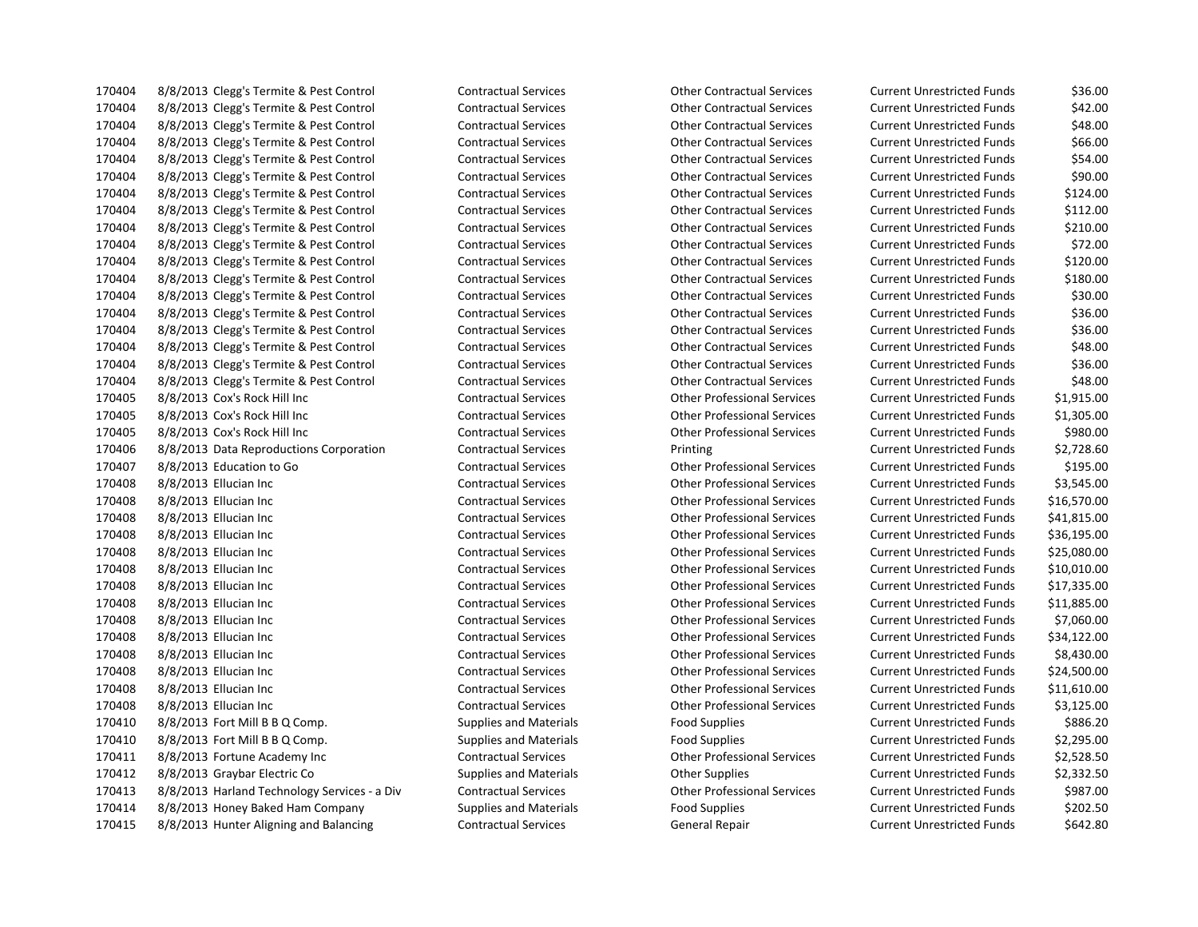8/8/2013 Clegg's Termite & Pest Control Contractual Services Other Contractual Services Current Unrestricted Funds \$36.00 8/8/2013 Clegg's Termite & Pest Control Contractual Services Other Contractual Services Current Unrestricted Funds \$42.00 8/8/2013 Clegg's Termite & Pest Control Contractual Services Other Contractual Services Current Unrestricted Funds \$48.00 8/8/2013 Clegg's Termite & Pest Control Contractual Services Other Contractual Services Current Unrestricted Funds \$66.00 8/8/2013 Clegg's Termite & Pest Control Contractual Services Other Contractual Services Current Unrestricted Funds \$54.00 8/8/2013 Clegg's Termite & Pest Control Contractual Services Other Contractual Services Current Unrestricted Funds \$90.00 8/8/2013 Clegg's Termite & Pest Control Contractual Services Other Contractual Services Current Unrestricted Funds \$124.00 8/8/2013 Clegg's Termite & Pest Control Contractual Services Other Contractual Services Current Unrestricted Funds \$112.00 8/8/2013 Clegg's Termite & Pest Control Contractual Services Other Contractual Services Current Unrestricted Funds \$210.00 8/8/2013 Clegg's Termite & Pest Control Contractual Services Other Contractual Services Current Unrestricted Funds \$72.00 8/8/2013 Clegg's Termite & Pest Control Contractual Services Other Contractual Services Current Unrestricted Funds \$120.00 8/8/2013 Clegg's Termite & Pest Control Contractual Services Other Contractual Services Current Unrestricted Funds \$180.00 8/8/2013 Clegg's Termite & Pest Control Contractual Services Other Contractual Services Current Unrestricted Funds \$30.00 8/8/2013 Clegg's Termite & Pest Control Contractual Services Other Contractual Services Current Unrestricted Funds \$36.00 8/8/2013 Clegg's Termite & Pest Control Contractual Services Other Contractual Services Current Unrestricted Funds \$36.00 8/8/2013 Clegg's Termite & Pest Control Contractual Services Other Contractual Services Current Unrestricted Funds \$48.00 8/8/2013 Clegg's Termite & Pest Control Contractual Services Other Contractual Services Current Unrestricted Funds \$36.00 8/8/2013 Clegg's Termite & Pest Control Contractual Services Other Contractual Services Current Unrestricted Funds \$48.00 8/8/2013 Cox's Rock Hill Inc Contractual Services Other Professional Services Current Unrestricted Funds \$1,915.00 8/8/2013 Cox's Rock Hill Inc Contractual Services Other Professional Services Current Unrestricted Funds \$1,305.00 8/8/2013 Cox's Rock Hill Inc Contractual Services Other Professional Services Current Unrestricted Funds \$980.00 8/8/2013 Data Reproductions Corporation Contractual Services Printing Current Unrestricted Funds \$2,728.60 8/8/2013 Education to Go Contractual Services Other Professional Services Current Unrestricted Funds \$195.00 8/8/2013 Ellucian Inc Contractual Services Other Professional Services Current Unrestricted Funds \$3,545.00 8/8/2013 Ellucian Inc Contractual Services Other Professional Services Current Unrestricted Funds \$16,570.00 8/8/2013 Ellucian Inc Contractual Services Other Professional Services Current Unrestricted Funds \$41,815.00 8/8/2013 Ellucian Inc Contractual Services Other Professional Services Current Unrestricted Funds \$36,195.00 8/8/2013 Ellucian Inc Contractual Services Other Professional Services Current Unrestricted Funds \$25,080.00 8/8/2013 Ellucian Inc Contractual Services Other Professional Services Current Unrestricted Funds \$10,010.00 8/8/2013 Ellucian Inc Contractual Services Other Professional Services Current Unrestricted Funds \$17,335.00 8/8/2013 Ellucian Inc Contractual Services Other Professional Services Current Unrestricted Funds \$11,885.00 8/8/2013 Ellucian Inc Contractual Services Other Professional Services Current Unrestricted Funds \$7,060.00 8/8/2013 Ellucian Inc Contractual Services Other Professional Services Current Unrestricted Funds \$34,122.00 8/8/2013 Ellucian Inc Contractual Services Other Professional Services Current Unrestricted Funds \$8,430.00 8/8/2013 Ellucian Inc Contractual Services Other Professional Services Current Unrestricted Funds \$24,500.00 8/8/2013 Ellucian Inc Contractual Services Other Professional Services Current Unrestricted Funds \$11,610.00 8/8/2013 Ellucian Inc Contractual Services Other Professional Services Current Unrestricted Funds \$3,125.00 8/8/2013 Fort Mill B B Q Comp. Supplies and Materials Food Supplies Current Unrestricted Funds \$886.20 8/8/2013 Fort Mill B B Q Comp. Supplies and Materials Food Supplies Current Unrestricted Funds \$2,295.00 8/8/2013 Fortune Academy Inc Contractual Services Other Professional Services Current Unrestricted Funds \$2,528.50 8/8/2013 Graybar Electric Co Supplies and Materials Other Supplies Current Unrestricted Funds \$2,332.50 8/8/2013 Harland Technology Services - a Div Contractual Services Other Professional Services Current Unrestricted Funds \$987.00 8/8/2013 Honey Baked Ham Company Supplies and Materials Food Supplies Current Unrestricted Funds \$202.50 8/8/2013 Hunter Aligning and Balancing Contractual Services General Repair Current Unrestricted Funds \$642.80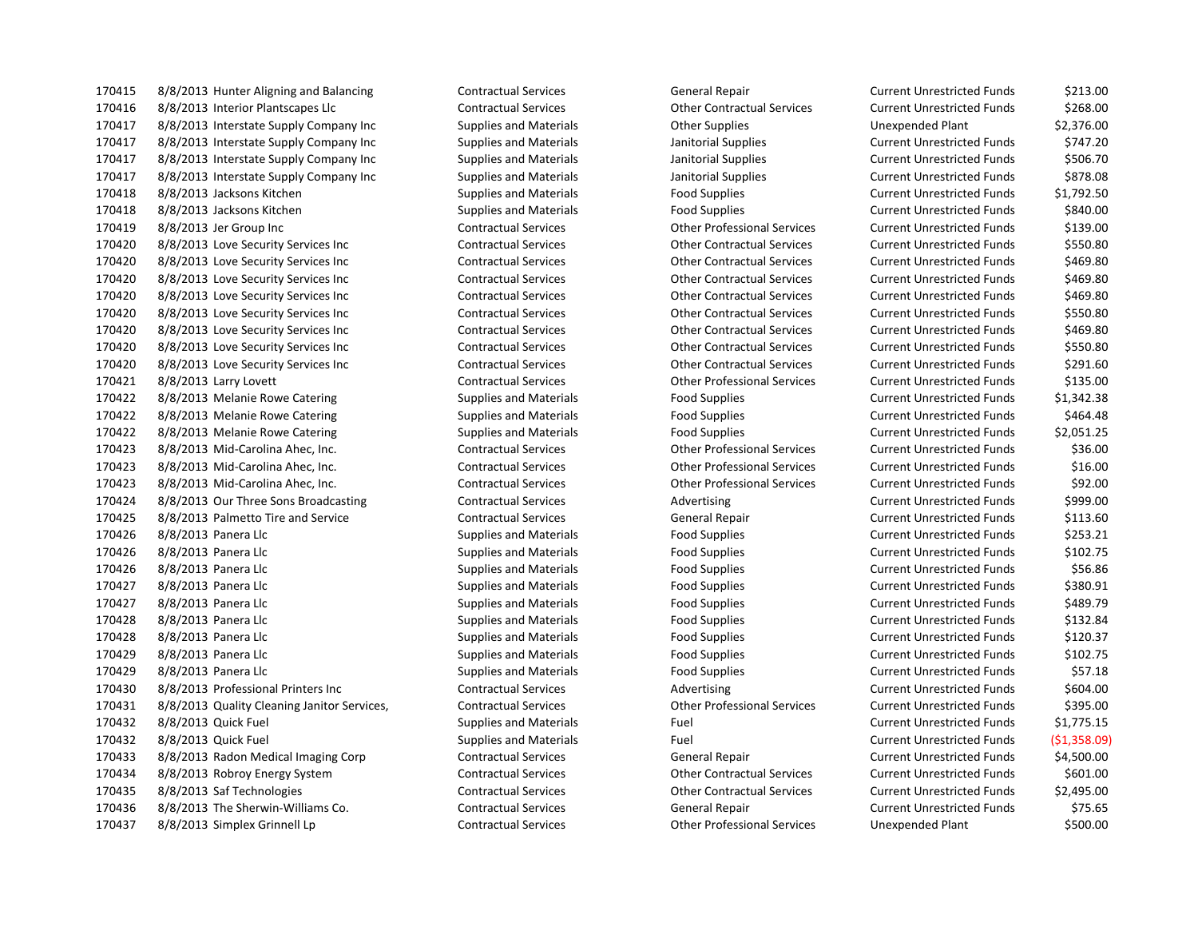8/8/2013 Hunter Aligning and Balancing Contractual Services General Repair Current Unrestricted Funds \$213.00 8/8/2013 Interior Plantscapes Llc Contractual Services Other Contractual Services Current Unrestricted Funds \$268.00 8/8/2013 Interstate Supply Company Inc Supplies and Materials Other Supplies Unexpended Plant \$2,376.00 170417 8/8/2013 Interstate Supply Company Inc Supplies and Materials Janitorial Supplies Current Unrestricted Funds \$747.20 8/8/2013 Interstate Supply Company Inc Supplies and Materials Janitorial Supplies Current Unrestricted Funds \$506.70 8/8/2013 Interstate Supply Company Inc Supplies and Materials Janitorial Supplies Current Unrestricted Funds \$878.08 8/8/2013 Jacksons Kitchen Supplies and Materials Food Supplies Current Unrestricted Funds \$1,792.50 8/8/2013 Jacksons Kitchen Supplies and Materials Food Supplies Current Unrestricted Funds \$840.00 8/8/2013 Jer Group Inc Contractual Services Other Professional Services Current Unrestricted Funds \$139.00 8/8/2013 Love Security Services Inc Contractual Services Other Contractual Services Current Unrestricted Funds \$550.80 8/8/2013 Love Security Services Inc Contractual Services Other Contractual Services Current Unrestricted Funds \$469.80 8/8/2013 Love Security Services Inc Contractual Services Other Contractual Services Current Unrestricted Funds \$469.80 8/8/2013 Love Security Services Inc Contractual Services Other Contractual Services Current Unrestricted Funds \$469.80 8/8/2013 Love Security Services Inc Contractual Services Other Contractual Services Current Unrestricted Funds \$550.80 8/8/2013 Love Security Services Inc Contractual Services Other Contractual Services Current Unrestricted Funds \$469.80 8/8/2013 Love Security Services Inc Contractual Services Other Contractual Services Current Unrestricted Funds \$550.80 8/8/2013 Love Security Services Inc Contractual Services Other Contractual Services Current Unrestricted Funds \$291.60 8/8/2013 Larry Lovett Contractual Services Other Professional Services Current Unrestricted Funds \$135.00 8/8/2013 Melanie Rowe Catering Supplies and Materials Food Supplies Current Unrestricted Funds \$1,342.38 170422 8/8/2013 Melanie Rowe Catering Supplies and Materials Food Supplies Food Supplies Current Unrestricted Funds \$464.48 8/8/2013 Melanie Rowe Catering Supplies and Materials Food Supplies Current Unrestricted Funds \$2,051.25 8/8/2013 Mid-Carolina Ahec, Inc. Contractual Services Other Professional Services Current Unrestricted Funds \$36.00 8/8/2013 Mid-Carolina Ahec, Inc. Contractual Services Other Professional Services Current Unrestricted Funds \$16.00 8/8/2013 Mid-Carolina Ahec, Inc. Contractual Services Other Professional Services Current Unrestricted Funds \$92.00 170424 8/8/2013 Our Three Sons Broadcasting Contractual Services Advertising Advertising Current Unrestricted Funds \$999.00 8/8/2013 Palmetto Tire and Service Contractual Services General Repair Current Unrestricted Funds \$113.60 170426 8/8/2013 Panera Llc Supplies and Materials Food Supplies Current Unrestricted Funds \$253.21 8/8/2013 Panera Llc Supplies and Materials Food Supplies Current Unrestricted Funds \$102.75 170426 8/8/2013 Panera Llc Supplies and Materials Food Supplies Food Supplies Current Unrestricted Funds \$56.86 170427 8/8/2013 Panera Llc Supplies and Materials Food Supplies Current Unrestricted Funds \$380.91 8/8/2013 Panera Llc Supplies and Materials Food Supplies Current Unrestricted Funds \$489.79 170428 8/8/2013 Panera Llc Supplies and Materials Food Supplies Current Unrestricted Funds 5132.84 170428 8/8/2013 Panera Llc Supplies and Materials Food Supplies Food Supplies Current Unrestricted Funds \$120.37 8/8/2013 Panera Llc Supplies and Materials Food Supplies Current Unrestricted Funds \$102.75 8/8/2013 Panera Llc Supplies and Materials Food Supplies Current Unrestricted Funds \$57.18 170430 8/8/2013 Professional Printers Inc Contractual Services Advertising Current Unrestricted Funds \$604.00 8/8/2013 Quality Cleaning Janitor Services, Contractual Services Other Professional Services Current Unrestricted Funds \$395.00 8/8/2013 Quick Fuel Supplies and Materials Fuel Current Unrestricted Funds \$1,775.15 8/8/2013 Quick Fuel Supplies and Materials Fuel Current Unrestricted Funds (\$1,358.09) 8/8/2013 Radon Medical Imaging Corp Contractual Services General Repair Current Unrestricted Funds \$4,500.00 8/8/2013 Robroy Energy System Contractual Services Other Contractual Services Current Unrestricted Funds \$601.00 8/8/2013 Saf Technologies Contractual Services Other Contractual Services Current Unrestricted Funds \$2,495.00 8/8/2013 The Sherwin-Williams Co. Contractual Services General Repair Current Unrestricted Funds \$75.65

8/8/2013 Simplex Grinnell Lp Contractual Services Other Professional Services Unexpended Plant \$500.00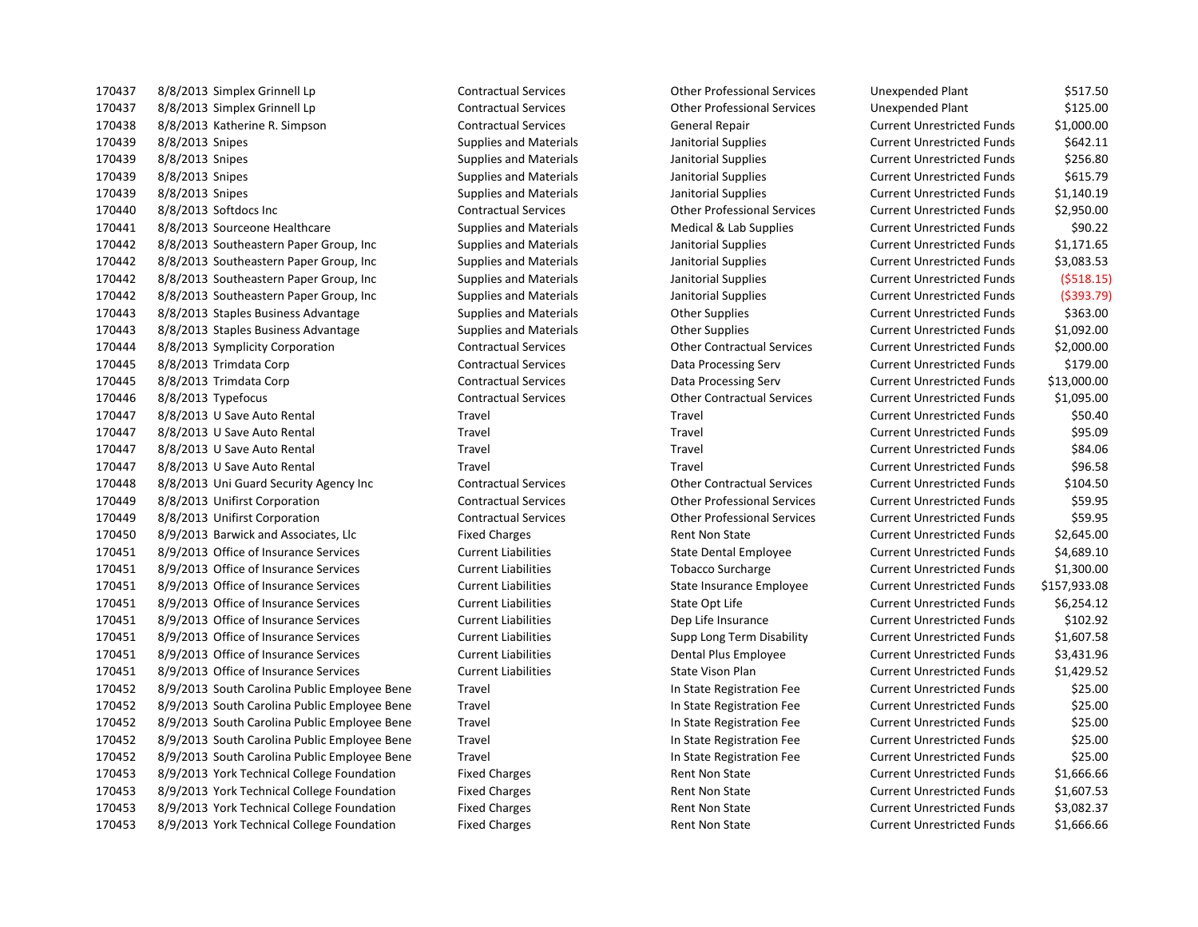8/8/2013 Simplex Grinnell Lp Contractual Services Other Professional Services Unexpended Plant \$517.50 8/8/2013 Simplex Grinnell Lp Contractual Services Other Professional Services Unexpended Plant \$125.00 8/8/2013 Katherine R. Simpson Contractual Services General Repair Current Unrestricted Funds \$1,000.00 8/8/2013 Snipes Supplies and Materials Janitorial Supplies Current Unrestricted Funds \$642.11 170439 8/8/2013 Snipes Supplies and Materials Janitorial Supplies Supplies Current Unrestricted Funds \$256.80 8/8/2013 Snipes Supplies and Materials Janitorial Supplies Current Unrestricted Funds \$615.79 8/8/2013 Snipes Supplies and Materials Janitorial Supplies Current Unrestricted Funds \$1,140.19 8/8/2013 Softdocs Inc Contractual Services Other Professional Services Current Unrestricted Funds \$2,950.00 8/8/2013 Sourceone Healthcare Supplies and Materials Medical & Lab Supplies Current Unrestricted Funds \$90.22 8/8/2013 Southeastern Paper Group, Inc Supplies and Materials Janitorial Supplies Current Unrestricted Funds \$1,171.65 8/8/2013 Southeastern Paper Group, Inc Supplies and Materials Janitorial Supplies Current Unrestricted Funds \$3,083.53 8/8/2013 Southeastern Paper Group, Inc Supplies and Materials Janitorial Supplies Current Unrestricted Funds (\$518.15) 8/8/2013 Southeastern Paper Group, Inc Supplies and Materials Janitorial Supplies Current Unrestricted Funds (\$393.79) 8/8/2013 Staples Business Advantage Supplies and Materials Other Supplies Current Unrestricted Funds \$363.00 8/8/2013 Staples Business Advantage Supplies and Materials Other Supplies Current Unrestricted Funds \$1,092.00 8/8/2013 Symplicity Corporation Contractual Services Other Contractual Services Current Unrestricted Funds \$2,000.00 8/8/2013 Trimdata Corp Contractual Services Data Processing Serv Current Unrestricted Funds \$179.00 8/8/2013 Trimdata Corp Contractual Services Data Processing Serv Current Unrestricted Funds \$13,000.00 8/8/2013 Typefocus Contractual Services Other Contractual Services Current Unrestricted Funds \$1,095.00 8/8/2013 U Save Auto Rental Travel Travel Current Unrestricted Funds \$50.40 8/8/2013 U Save Auto Rental Travel Travel Current Unrestricted Funds \$95.09 8/8/2013 U Save Auto Rental Travel Travel Current Unrestricted Funds \$84.06 8/8/2013 U Save Auto Rental Travel Travel Current Unrestricted Funds \$96.58 8/8/2013 Uni Guard Security Agency Inc Contractual Services Other Contractual Services Current Unrestricted Funds \$104.50 8/8/2013 Unifirst Corporation Contractual Services Other Professional Services Current Unrestricted Funds \$59.95 8/8/2013 Unifirst Corporation Contractual Services Other Professional Services Current Unrestricted Funds \$59.95 170450 8/9/2013 Barwick and Associates, Llc Fixed Charges Fixed Charges Rent Non State Current Unrestricted Funds \$2,645.00 8/9/2013 Office of Insurance Services Current Liabilities State Dental Employee Current Unrestricted Funds \$4,689.10 8/9/2013 Office of Insurance Services Current Liabilities Tobacco Surcharge Current Unrestricted Funds \$1,300.00 8/9/2013 Office of Insurance Services Current Liabilities State Insurance Employee Current Unrestricted Funds \$157,933.08 8/9/2013 Office of Insurance Services Current Liabilities State Opt Life Current Unrestricted Funds \$6,254.12 8/9/2013 Office of Insurance Services Current Liabilities Dep Life Insurance Current Unrestricted Funds \$102.92 8/9/2013 Office of Insurance Services Current Liabilities Supp Long Term Disability Current Unrestricted Funds \$1,607.58 8/9/2013 Office of Insurance Services Current Liabilities Dental Plus Employee Current Unrestricted Funds \$3,431.96 8/9/2013 Office of Insurance Services Current Liabilities State Vison Plan Current Unrestricted Funds \$1,429.52 8/9/2013 South Carolina Public Employee Bene Travel In State Registration Fee Current Unrestricted Funds \$25.00 8/9/2013 South Carolina Public Employee Bene Travel In State Registration Fee Current Unrestricted Funds \$25.00 8/9/2013 South Carolina Public Employee Bene Travel In State Registration Fee Current Unrestricted Funds \$25.00 8/9/2013 South Carolina Public Employee Bene Travel In State Registration Fee Current Unrestricted Funds \$25.00 8/9/2013 South Carolina Public Employee Bene Travel In State Registration Fee Current Unrestricted Funds \$25.00 170453 8/9/2013 York Technical College Foundation Fixed Charges Rent Non State Current Unrestricted Funds \$1,666.66 170453 8/9/2013 York Technical College Foundation Fixed Charges Rent Non State Current Unrestricted Funds \$1,607.53 170453 8/9/2013 York Technical College Foundation Fixed Charges Rent Non State Current Unrestricted Funds \$3,082.37 170453 8/9/2013 York Technical College Foundation Fixed Charges Rent Non State Current Unrestricted Funds \$1,666.66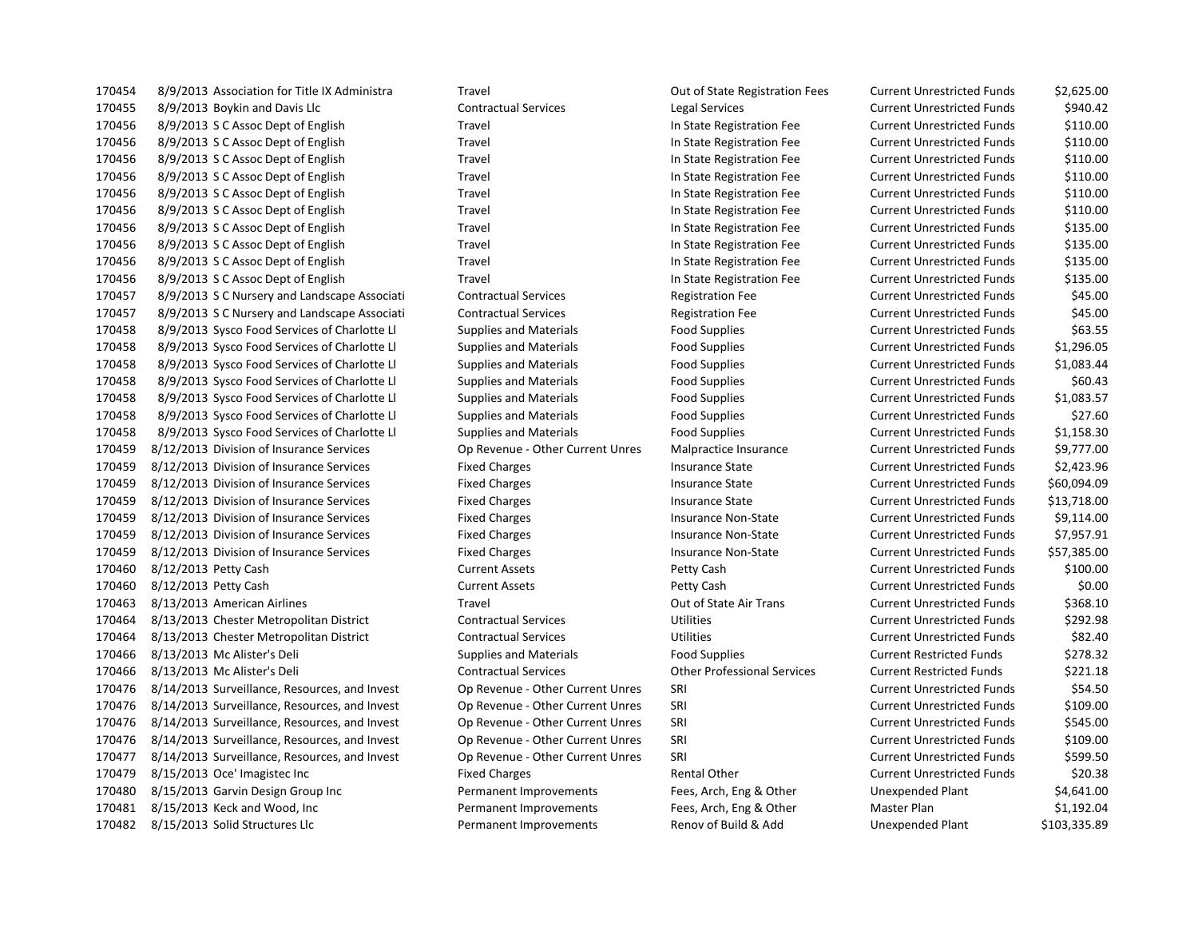8/9/2013 Boykin and Davis Llc Contractual Services Legal Services Current Unrestricted Funds \$940.42 8/9/2013 S C Assoc Dept of English Travel In State Registration Fee Current Unrestricted Funds \$110.00 8/9/2013 S C Assoc Dept of English Travel In State Registration Fee Current Unrestricted Funds \$110.00 8/9/2013 S C Assoc Dept of English Travel In State Registration Fee Current Unrestricted Funds \$110.00 8/9/2013 S C Assoc Dept of English Travel In State Registration Fee Current Unrestricted Funds \$110.00 8/9/2013 S C Assoc Dept of English Travel In State Registration Fee Current Unrestricted Funds \$110.00 8/9/2013 S C Assoc Dept of English Travel In State Registration Fee Current Unrestricted Funds \$110.00 8/9/2013 S C Assoc Dept of English Travel In State Registration Fee Current Unrestricted Funds \$135.00 8/9/2013 S C Assoc Dept of English Travel In State Registration Fee Current Unrestricted Funds \$135.00 8/9/2013 S C Assoc Dept of English Travel In State Registration Fee Current Unrestricted Funds \$135.00 8/9/2013 S C Assoc Dept of English Travel In State Registration Fee Current Unrestricted Funds \$135.00 8/9/2013 S C Nursery and Landscape Associati Contractual Services Registration Fee Current Unrestricted Funds \$45.00 170457 8/9/2013 S C Nursery and Landscape Associati Contractual Services Registration Fee Current Unrestricted Funds \$45.00 8/9/2013 Sysco Food Services of Charlotte Ll Supplies and Materials Food Supplies Current Unrestricted Funds \$63.55 8/9/2013 Sysco Food Services of Charlotte Ll Supplies and Materials Food Supplies Current Unrestricted Funds \$1,296.05 8/9/2013 Sysco Food Services of Charlotte Ll Supplies and Materials Food Supplies Current Unrestricted Funds \$1,083.44 8/9/2013 Sysco Food Services of Charlotte Ll Supplies and Materials Food Supplies Current Unrestricted Funds \$60.43 8/9/2013 Sysco Food Services of Charlotte Ll Supplies and Materials Food Supplies Current Unrestricted Funds \$1,083.57 8/9/2013 Sysco Food Services of Charlotte Ll Supplies and Materials Food Supplies Current Unrestricted Funds \$27.60 8/9/2013 Sysco Food Services of Charlotte Ll Supplies and Materials Food Supplies Current Unrestricted Funds \$1,158.30 8/12/2013 Division of Insurance Services Op Revenue - Other Current Unres Malpractice Insurance Current Unrestricted Funds \$9,777.00 8/12/2013 Division of Insurance Services Fixed Charges Insurance State Current Unrestricted Funds \$2,423.96 8/12/2013 Division of Insurance Services Fixed Charges Insurance State Current Unrestricted Funds \$60,094.09 8/12/2013 Division of Insurance Services Fixed Charges Insurance State Current Unrestricted Funds \$13,718.00 8/12/2013 Division of Insurance Services Fixed Charges Insurance Non-State Current Unrestricted Funds \$9,114.00 8/12/2013 Division of Insurance Services Fixed Charges Insurance Non-State Current Unrestricted Funds \$7,957.91 8/12/2013 Division of Insurance Services Fixed Charges Insurance Non-State Current Unrestricted Funds \$57,385.00 8/12/2013 Petty Cash Current Assets Petty Cash Current Unrestricted Funds \$100.00 8/12/2013 Petty Cash Current Assets Petty Cash Current Unrestricted Funds \$0.00 8/13/2013 American Airlines Travel Out of State Air Trans Current Unrestricted Funds \$368.10 8/13/2013 Chester Metropolitan District Contractual Services Utilities Current Unrestricted Funds \$292.98 8/13/2013 Chester Metropolitan District Contractual Services Utilities Current Unrestricted Funds \$82.40 8/13/2013 Mc Alister's Deli Supplies and Materials Food Supplies Current Restricted Funds \$278.32 8/13/2013 Mc Alister's Deli Contractual Services Other Professional Services Current Restricted Funds \$221.18 8/14/2013 Surveillance, Resources, and Invest Op Revenue - Other Current Unres SRI Current Unrestricted Funds \$54.50 8/14/2013 Surveillance, Resources, and Invest Op Revenue - Other Current Unres SRI Current Unrestricted Funds \$109.00 8/14/2013 Surveillance, Resources, and Invest Op Revenue - Other Current Unres SRI Current Unrestricted Funds \$545.00 8/14/2013 Surveillance, Resources, and Invest Op Revenue - Other Current Unres SRI Current Unrestricted Funds \$109.00 8/14/2013 Surveillance, Resources, and Invest Op Revenue - Other Current Unres SRI Current Unrestricted Funds \$599.50 170479 8/15/2013 Oce' Imagistec Inc Current Unrestricted Funds S20.38 8/15/2013 Garvin Design Group Inc Permanent Improvements Fees, Arch, Eng & Other Unexpended Plant \$4,641.00 8/15/2013 Keck and Wood, Inc Permanent Improvements Fees, Arch, Eng & Other Master Plan \$1,192.04 8/15/2013 Solid Structures Llc Permanent Improvements Renov of Build & Add Unexpended Plant \$103,335.89

8/9/2013 Association for Title IX Administra Travel Out of State Registration Fees Current Unrestricted Funds \$2,625.00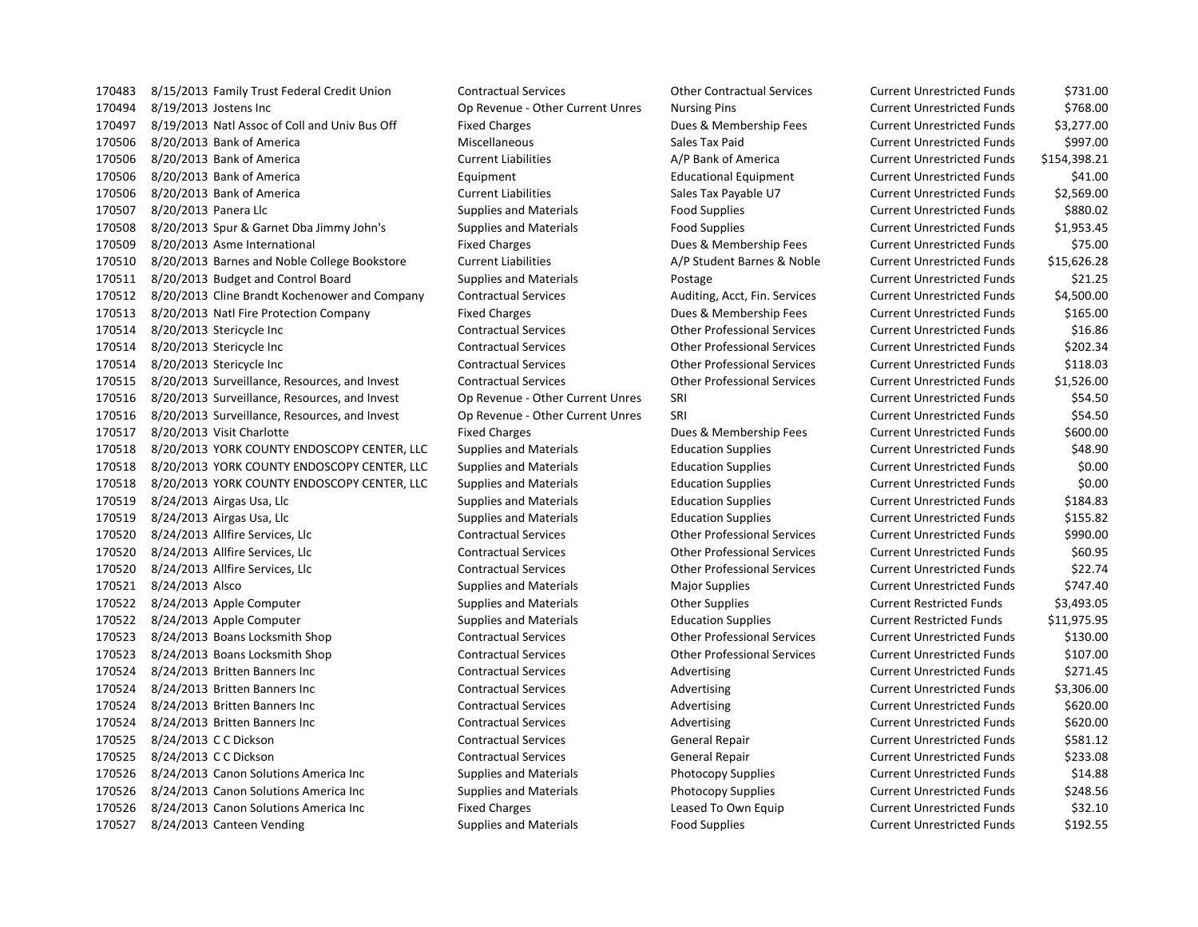8/15/2013 Family Trust Federal Credit Union Contractual Services Other Contractual Services Current Unrestricted Funds \$731.00 8/19/2013 Jostens Inc Op Revenue - Other Current Unres Nursing Pins Current Unrestricted Funds \$768.00 8/19/2013 Natl Assoc of Coll and Univ Bus Off Fixed Charges Dues & Membership Fees Current Unrestricted Funds \$3,277.00 170506 8/20/2013 Bank of America Niel Stephen Miscellaneous Sales Tax Paid Current Unrestricted Funds \$997.00 8/20/2013 Bank of America Current Liabilities A/P Bank of America Current Unrestricted Funds \$154,398.21 8/20/2013 Bank of America Equipment Educational Equipment Current Unrestricted Funds \$41.00 8/20/2013 Bank of America Current Liabilities Sales Tax Payable U7 Current Unrestricted Funds \$2,569.00 8/20/2013 Panera Llc Supplies and Materials Food Supplies Current Unrestricted Funds \$880.02 8/20/2013 Spur & Garnet Dba Jimmy John's Supplies and Materials Food Supplies Current Unrestricted Funds \$1,953.45 8/20/2013 Asme International Fixed Charges Dues & Membership Fees Current Unrestricted Funds \$75.00 8/20/2013 Barnes and Noble College Bookstore Current Liabilities A/P Student Barnes & Noble Current Unrestricted Funds \$15,626.28 8/20/2013 Budget and Control Board Supplies and Materials Postage Current Unrestricted Funds \$21.25 8/20/2013 Cline Brandt Kochenower and Company Contractual Services Auditing, Acct, Fin. Services Current Unrestricted Funds \$4,500.00 8/20/2013 Natl Fire Protection Company Fixed Charges Dues & Membership Fees Current Unrestricted Funds \$165.00 8/20/2013 Stericycle Inc Contractual Services Other Professional Services Current Unrestricted Funds \$16.86 8/20/2013 Stericycle Inc Contractual Services Other Professional Services Current Unrestricted Funds \$202.34 8/20/2013 Stericycle Inc Contractual Services Other Professional Services Current Unrestricted Funds \$118.03 8/20/2013 Surveillance, Resources, and Invest Contractual Services Other Professional Services Current Unrestricted Funds \$1,526.00 8/20/2013 Surveillance, Resources, and Invest Op Revenue - Other Current Unres SRI Current Unrestricted Funds \$54.50 8/20/2013 Surveillance, Resources, and Invest Op Revenue - Other Current Unres SRI Current Unrestricted Funds \$54.50 170517 8/20/2013 Visit Charlotte **Fixed Charges** Fixed Charges Dues & Membership Fees Current Unrestricted Funds \$600.00 8/20/2013 YORK COUNTY ENDOSCOPY CENTER, LLC Supplies and Materials Education Supplies Current Unrestricted Funds \$48.90 8/20/2013 YORK COUNTY ENDOSCOPY CENTER, LLC Supplies and Materials Education Supplies Current Unrestricted Funds \$0.00 8/20/2013 YORK COUNTY ENDOSCOPY CENTER, LLC Supplies and Materials Education Supplies Current Unrestricted Funds \$0.00 8/24/2013 Airgas Usa, Llc Supplies and Materials Education Supplies Current Unrestricted Funds \$184.83 8/24/2013 Airgas Usa, Llc Supplies and Materials Education Supplies Current Unrestricted Funds \$155.82 8/24/2013 Allfire Services, Llc Contractual Services Other Professional Services Current Unrestricted Funds \$990.00 8/24/2013 Allfire Services, Llc Contractual Services Other Professional Services Current Unrestricted Funds \$60.95 8/24/2013 Allfire Services, Llc Contractual Services Other Professional Services Current Unrestricted Funds \$22.74 170521 8/24/2013 Alsco Supplies and Materials Materials Major Supplies Magnus Current Unrestricted Funds 5747.40 8/24/2013 Apple Computer Supplies and Materials Other Supplies Current Restricted Funds \$3,493.05 8/24/2013 Apple Computer Supplies and Materials Education Supplies Current Restricted Funds \$11,975.95 8/24/2013 Boans Locksmith Shop Contractual Services Other Professional Services Current Unrestricted Funds \$130.00 8/24/2013 Boans Locksmith Shop Contractual Services Other Professional Services Current Unrestricted Funds \$107.00 170524 8/24/2013 Britten Banners Inc Contractual Services Advertising Advertising Current Unrestricted Funds \$271.45 170524 8/24/2013 Britten Banners Inc Contractual Services Advertising Current Unrestricted Funds \$3,306.00 8/24/2013 Britten Banners Inc Contractual Services Advertising Current Unrestricted Funds \$620.00 8/24/2013 Britten Banners Inc Contractual Services Advertising Current Unrestricted Funds \$620.00 8/24/2013 C C Dickson Contractual Services General Repair Current Unrestricted Funds \$581.12 8/24/2013 C C Dickson Contractual Services General Repair Current Unrestricted Funds \$233.08 8/24/2013 Canon Solutions America Inc Supplies and Materials Photocopy Supplies Current Unrestricted Funds \$14.88 8/24/2013 Canon Solutions America Inc Supplies and Materials Photocopy Supplies Current Unrestricted Funds \$248.56 8/24/2013 Canon Solutions America Inc Fixed Charges Leased To Own Equip Current Unrestricted Funds \$32.10 170527 8/24/2013 Canteen Vending Supplies and Materials Food Supplies Food Supplies Current Unrestricted Funds \$192.55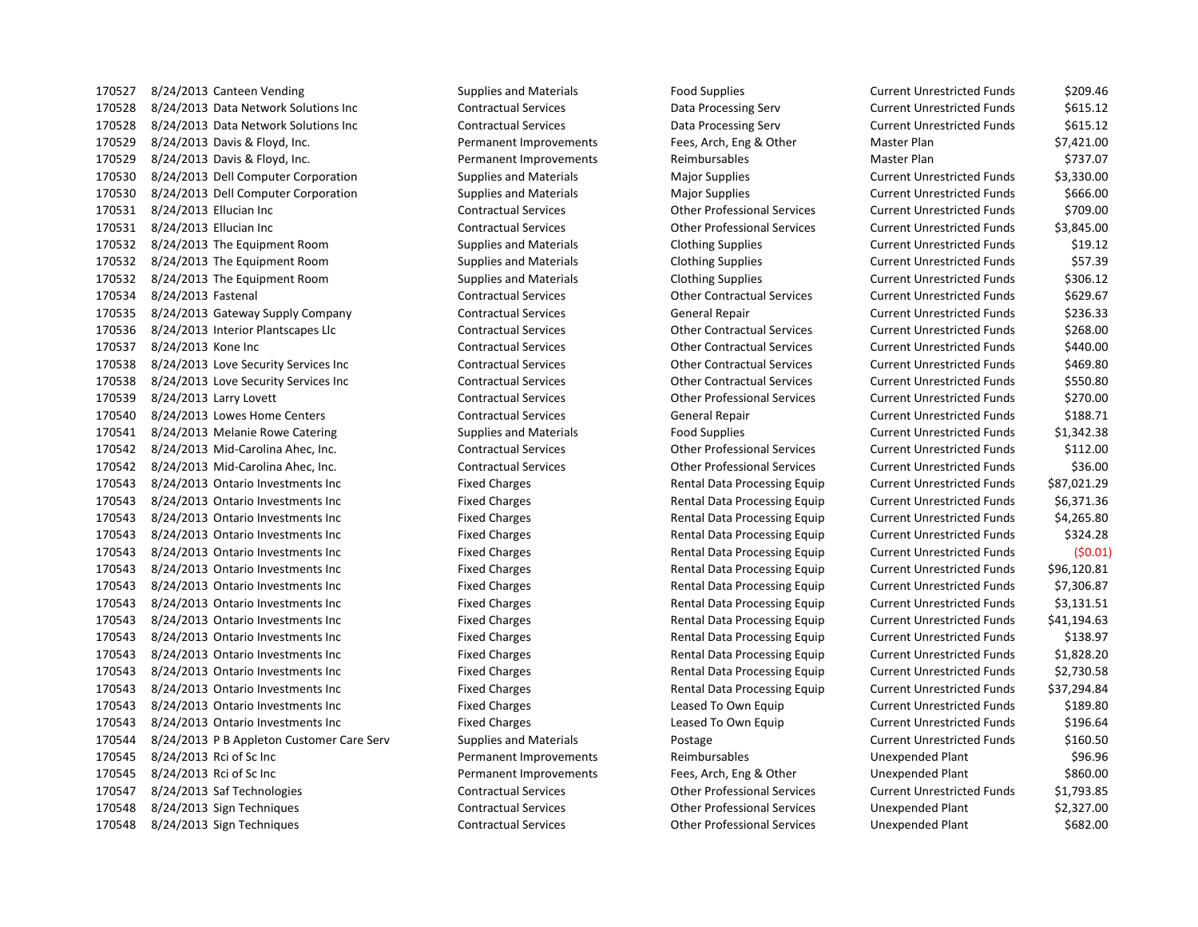170527 8/24/2013 Canteen Vending Supplies and Materials Food Supplies Food Supplies Current Unrestricted Funds \$209.46 8/24/2013 Data Network Solutions Inc Contractual Services Data Processing Serv Current Unrestricted Funds \$615.12 8/24/2013 Data Network Solutions Inc Contractual Services Data Processing Serv Current Unrestricted Funds \$615.12 8/24/2013 Davis & Floyd, Inc. Permanent Improvements Fees, Arch, Eng & Other Master Plan \$7,421.00 170529 8/24/2013 Davis & Floyd, Inc. The Communism Permanent Improvements Reimbursables Master Plan \$737.07 8/24/2013 Dell Computer Corporation Supplies and Materials Major Supplies Current Unrestricted Funds \$3,330.00 8/24/2013 Dell Computer Corporation Supplies and Materials Major Supplies Current Unrestricted Funds \$666.00 8/24/2013 Ellucian Inc Contractual Services Other Professional Services Current Unrestricted Funds \$709.00 8/24/2013 Ellucian Inc Contractual Services Other Professional Services Current Unrestricted Funds \$3,845.00 8/24/2013 The Equipment Room Supplies and Materials Clothing Supplies Current Unrestricted Funds \$19.12 8/24/2013 The Equipment Room Supplies and Materials Clothing Supplies Current Unrestricted Funds \$57.39 8/24/2013 The Equipment Room Supplies and Materials Clothing Supplies Current Unrestricted Funds \$306.12 8/24/2013 Fastenal Contractual Services Other Contractual Services Current Unrestricted Funds \$629.67 8/24/2013 Gateway Supply Company Contractual Services General Repair Current Unrestricted Funds \$236.33 8/24/2013 Interior Plantscapes Llc Contractual Services Other Contractual Services Current Unrestricted Funds \$268.00 8/24/2013 Kone Inc Contractual Services Other Contractual Services Current Unrestricted Funds \$440.00 8/24/2013 Love Security Services Inc Contractual Services Other Contractual Services Current Unrestricted Funds \$469.80 8/24/2013 Love Security Services Inc Contractual Services Other Contractual Services Current Unrestricted Funds \$550.80 8/24/2013 Larry Lovett Contractual Services Other Professional Services Current Unrestricted Funds \$270.00 8/24/2013 Lowes Home Centers Contractual Services General Repair Current Unrestricted Funds \$188.71 8/24/2013 Melanie Rowe Catering Supplies and Materials Food Supplies Current Unrestricted Funds \$1,342.38 8/24/2013 Mid-Carolina Ahec, Inc. Contractual Services Other Professional Services Current Unrestricted Funds \$112.00 8/24/2013 Mid-Carolina Ahec, Inc. Contractual Services Other Professional Services Current Unrestricted Funds \$36.00 8/24/2013 Ontario Investments Inc Fixed Charges Rental Data Processing Equip Current Unrestricted Funds \$87,021.29 8/24/2013 Ontario Investments Inc Fixed Charges Rental Data Processing Equip Current Unrestricted Funds \$6,371.36 8/24/2013 Ontario Investments Inc Fixed Charges Rental Data Processing Equip Current Unrestricted Funds \$4,265.80 8/24/2013 Ontario Investments Inc Fixed Charges Rental Data Processing Equip Current Unrestricted Funds \$324.28 8/24/2013 Ontario Investments Inc Fixed Charges Rental Data Processing Equip Current Unrestricted Funds (\$0.01) 8/24/2013 Ontario Investments Inc Fixed Charges Rental Data Processing Equip Current Unrestricted Funds \$96,120.81 8/24/2013 Ontario Investments Inc Fixed Charges Rental Data Processing Equip Current Unrestricted Funds \$7,306.87 8/24/2013 Ontario Investments Inc Fixed Charges Rental Data Processing Equip Current Unrestricted Funds \$3,131.51 8/24/2013 Ontario Investments Inc Fixed Charges Rental Data Processing Equip Current Unrestricted Funds \$41,194.63 170543 8/24/2013 Ontario Investments Inc Fixed Charges Fixed Charges Rental Data Processing Equip Current Unrestricted Funds \$138.97 8/24/2013 Ontario Investments Inc Fixed Charges Rental Data Processing Equip Current Unrestricted Funds \$1,828.20 8/24/2013 Ontario Investments Inc Fixed Charges Rental Data Processing Equip Current Unrestricted Funds \$2,730.58 8/24/2013 Ontario Investments Inc Fixed Charges Rental Data Processing Equip Current Unrestricted Funds \$37,294.84 8/24/2013 Ontario Investments Inc Fixed Charges Leased To Own Equip Current Unrestricted Funds \$189.80 8/24/2013 Ontario Investments Inc Fixed Charges Leased To Own Equip Current Unrestricted Funds \$196.64 8/24/2013 P B Appleton Customer Care Serv Supplies and Materials Postage Current Unrestricted Funds \$160.50 170545 8/24/2013 Rci of Sc Inc Contract Comment Improvements Reimbursables Unexpended Plant \$96.96 8/24/2013 Rci of Sc Inc Permanent Improvements Fees, Arch, Eng & Other Unexpended Plant \$860.00 8/24/2013 Saf Technologies Contractual Services Other Professional Services Current Unrestricted Funds \$1,793.85 8/24/2013 Sign Techniques Contractual Services Other Professional Services Unexpended Plant \$2,327.00 8/24/2013 Sign Techniques Contractual Services Other Professional Services Unexpended Plant \$682.00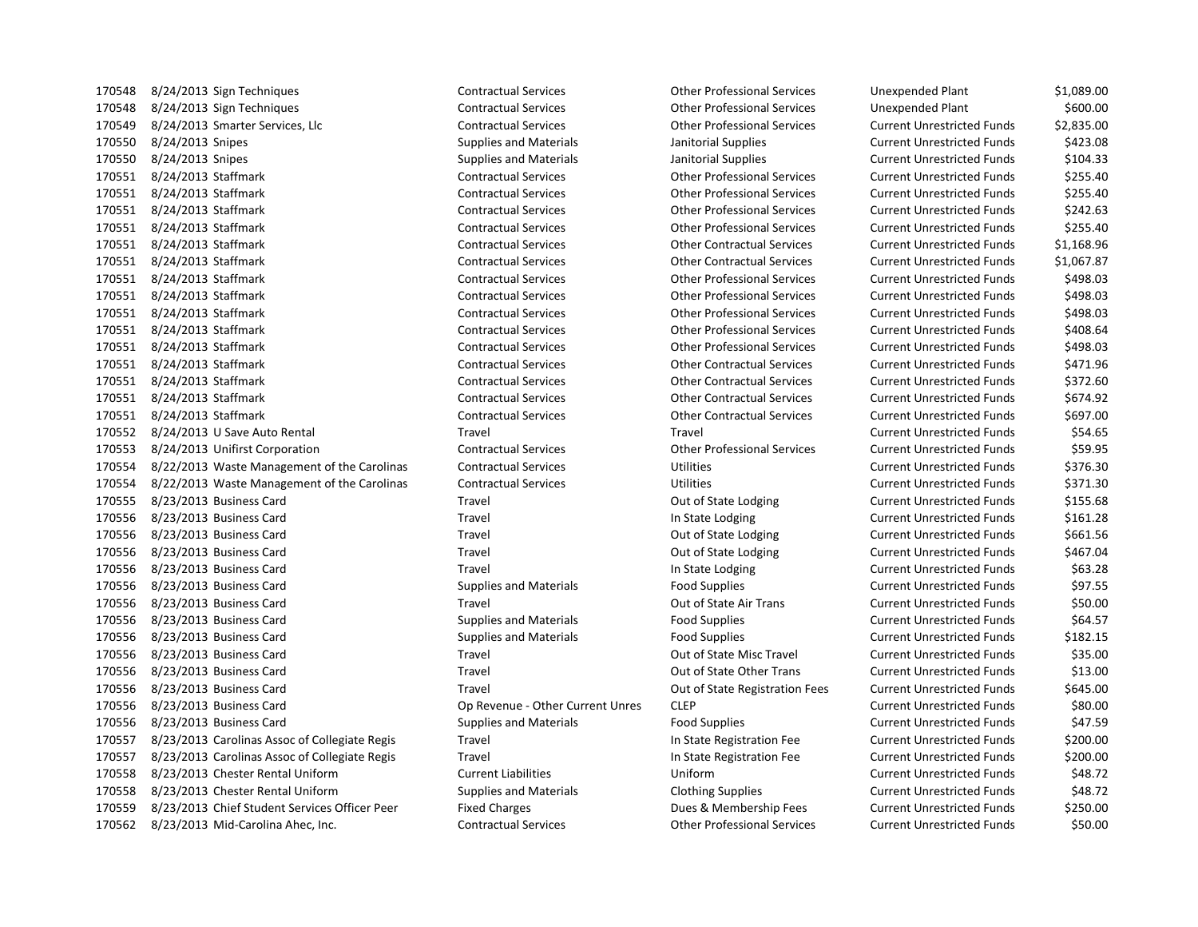| 170548 | 8/24/2013 Sign Techniques                     | Contractual Services             | Other Professional Services        | Unexpended Plant                  | \$1,089.00 |
|--------|-----------------------------------------------|----------------------------------|------------------------------------|-----------------------------------|------------|
| 170548 | 8/24/2013 Sign Techniques                     | <b>Contractual Services</b>      | <b>Other Professional Services</b> | Unexpended Plant                  | \$600.00   |
| 170549 | 8/24/2013 Smarter Services, Llc               | <b>Contractual Services</b>      | <b>Other Professional Services</b> | <b>Current Unrestricted Funds</b> | \$2,835.00 |
| 170550 | 8/24/2013 Snipes                              | <b>Supplies and Materials</b>    | Janitorial Supplies                | <b>Current Unrestricted Funds</b> | \$423.08   |
| 170550 | 8/24/2013 Snipes                              | <b>Supplies and Materials</b>    | Janitorial Supplies                | <b>Current Unrestricted Funds</b> | \$104.33   |
| 170551 | 8/24/2013 Staffmark                           | <b>Contractual Services</b>      | <b>Other Professional Services</b> | <b>Current Unrestricted Funds</b> | \$255.40   |
| 170551 | 8/24/2013 Staffmark                           | <b>Contractual Services</b>      | <b>Other Professional Services</b> | <b>Current Unrestricted Funds</b> | \$255.40   |
| 170551 | 8/24/2013 Staffmark                           | <b>Contractual Services</b>      | <b>Other Professional Services</b> | <b>Current Unrestricted Funds</b> | \$242.63   |
| 170551 | 8/24/2013 Staffmark                           | <b>Contractual Services</b>      | <b>Other Professional Services</b> | <b>Current Unrestricted Funds</b> | \$255.40   |
| 170551 | 8/24/2013 Staffmark                           | <b>Contractual Services</b>      | <b>Other Contractual Services</b>  | <b>Current Unrestricted Funds</b> | \$1,168.96 |
| 170551 | 8/24/2013 Staffmark                           | <b>Contractual Services</b>      | <b>Other Contractual Services</b>  | <b>Current Unrestricted Funds</b> | \$1,067.87 |
| 170551 | 8/24/2013 Staffmark                           | <b>Contractual Services</b>      | <b>Other Professional Services</b> | <b>Current Unrestricted Funds</b> | \$498.03   |
| 170551 | 8/24/2013 Staffmark                           | <b>Contractual Services</b>      | <b>Other Professional Services</b> | <b>Current Unrestricted Funds</b> | \$498.03   |
| 170551 | 8/24/2013 Staffmark                           | <b>Contractual Services</b>      | <b>Other Professional Services</b> | <b>Current Unrestricted Funds</b> | \$498.03   |
| 170551 | 8/24/2013 Staffmark                           | <b>Contractual Services</b>      | <b>Other Professional Services</b> | <b>Current Unrestricted Funds</b> | \$408.64   |
| 170551 | 8/24/2013 Staffmark                           | <b>Contractual Services</b>      | <b>Other Professional Services</b> | <b>Current Unrestricted Funds</b> | \$498.03   |
| 170551 | 8/24/2013 Staffmark                           | <b>Contractual Services</b>      | <b>Other Contractual Services</b>  | <b>Current Unrestricted Funds</b> | \$471.96   |
| 170551 | 8/24/2013 Staffmark                           | <b>Contractual Services</b>      | <b>Other Contractual Services</b>  | <b>Current Unrestricted Funds</b> | \$372.60   |
| 170551 | 8/24/2013 Staffmark                           | <b>Contractual Services</b>      | <b>Other Contractual Services</b>  | <b>Current Unrestricted Funds</b> | \$674.92   |
| 170551 | 8/24/2013 Staffmark                           | <b>Contractual Services</b>      | <b>Other Contractual Services</b>  | <b>Current Unrestricted Funds</b> | \$697.00   |
| 170552 | 8/24/2013 U Save Auto Rental                  | Travel                           | Travel                             | <b>Current Unrestricted Funds</b> | \$54.65    |
| 170553 | 8/24/2013 Unifirst Corporation                | <b>Contractual Services</b>      | <b>Other Professional Services</b> | <b>Current Unrestricted Funds</b> | \$59.95    |
| 170554 | 8/22/2013 Waste Management of the Carolinas   | <b>Contractual Services</b>      | <b>Utilities</b>                   | <b>Current Unrestricted Funds</b> | \$376.30   |
| 170554 | 8/22/2013 Waste Management of the Carolinas   | <b>Contractual Services</b>      | <b>Utilities</b>                   | <b>Current Unrestricted Funds</b> | \$371.30   |
| 170555 | 8/23/2013 Business Card                       | Travel                           | Out of State Lodging               | <b>Current Unrestricted Funds</b> | \$155.68   |
| 170556 | 8/23/2013 Business Card                       | Travel                           | In State Lodging                   | <b>Current Unrestricted Funds</b> | \$161.28   |
| 170556 | 8/23/2013 Business Card                       | Travel                           | Out of State Lodging               | <b>Current Unrestricted Funds</b> | \$661.56   |
| 170556 | 8/23/2013 Business Card                       | Travel                           | Out of State Lodging               | <b>Current Unrestricted Funds</b> | \$467.04   |
| 170556 | 8/23/2013 Business Card                       | Travel                           | In State Lodging                   | <b>Current Unrestricted Funds</b> | \$63.28    |
| 170556 | 8/23/2013 Business Card                       | <b>Supplies and Materials</b>    | <b>Food Supplies</b>               | <b>Current Unrestricted Funds</b> | \$97.55    |
| 170556 | 8/23/2013 Business Card                       | Travel                           | Out of State Air Trans             | <b>Current Unrestricted Funds</b> | \$50.00    |
| 170556 | 8/23/2013 Business Card                       | <b>Supplies and Materials</b>    | <b>Food Supplies</b>               | <b>Current Unrestricted Funds</b> | \$64.57    |
| 170556 | 8/23/2013 Business Card                       | <b>Supplies and Materials</b>    | <b>Food Supplies</b>               | <b>Current Unrestricted Funds</b> | \$182.15   |
| 170556 | 8/23/2013 Business Card                       | Travel                           | Out of State Misc Travel           | <b>Current Unrestricted Funds</b> | \$35.00    |
| 170556 | 8/23/2013 Business Card                       | Travel                           | Out of State Other Trans           | <b>Current Unrestricted Funds</b> | \$13.00    |
| 170556 | 8/23/2013 Business Card                       | Travel                           | Out of State Registration Fees     | <b>Current Unrestricted Funds</b> | \$645.00   |
| 170556 | 8/23/2013 Business Card                       | Op Revenue - Other Current Unres | <b>CLEP</b>                        | <b>Current Unrestricted Funds</b> | \$80.00    |
| 170556 | 8/23/2013 Business Card                       | <b>Supplies and Materials</b>    | <b>Food Supplies</b>               | <b>Current Unrestricted Funds</b> | \$47.59    |
| 170557 | 8/23/2013 Carolinas Assoc of Collegiate Regis | Travel                           | In State Registration Fee          | <b>Current Unrestricted Funds</b> | \$200.00   |
| 170557 | 8/23/2013 Carolinas Assoc of Collegiate Regis | Travel                           | In State Registration Fee          | <b>Current Unrestricted Funds</b> | \$200.00   |
| 170558 | 8/23/2013 Chester Rental Uniform              | <b>Current Liabilities</b>       | Uniform                            | <b>Current Unrestricted Funds</b> | \$48.72    |
| 170558 | 8/23/2013 Chester Rental Uniform              | <b>Supplies and Materials</b>    | <b>Clothing Supplies</b>           | <b>Current Unrestricted Funds</b> | \$48.72    |
| 170559 | 8/23/2013 Chief Student Services Officer Peer | <b>Fixed Charges</b>             | Dues & Membership Fees             | <b>Current Unrestricted Funds</b> | \$250.00   |
| 170562 | 8/23/2013 Mid-Carolina Ahec, Inc.             | <b>Contractual Services</b>      | <b>Other Professional Services</b> | <b>Current Unrestricted Funds</b> | \$50.00    |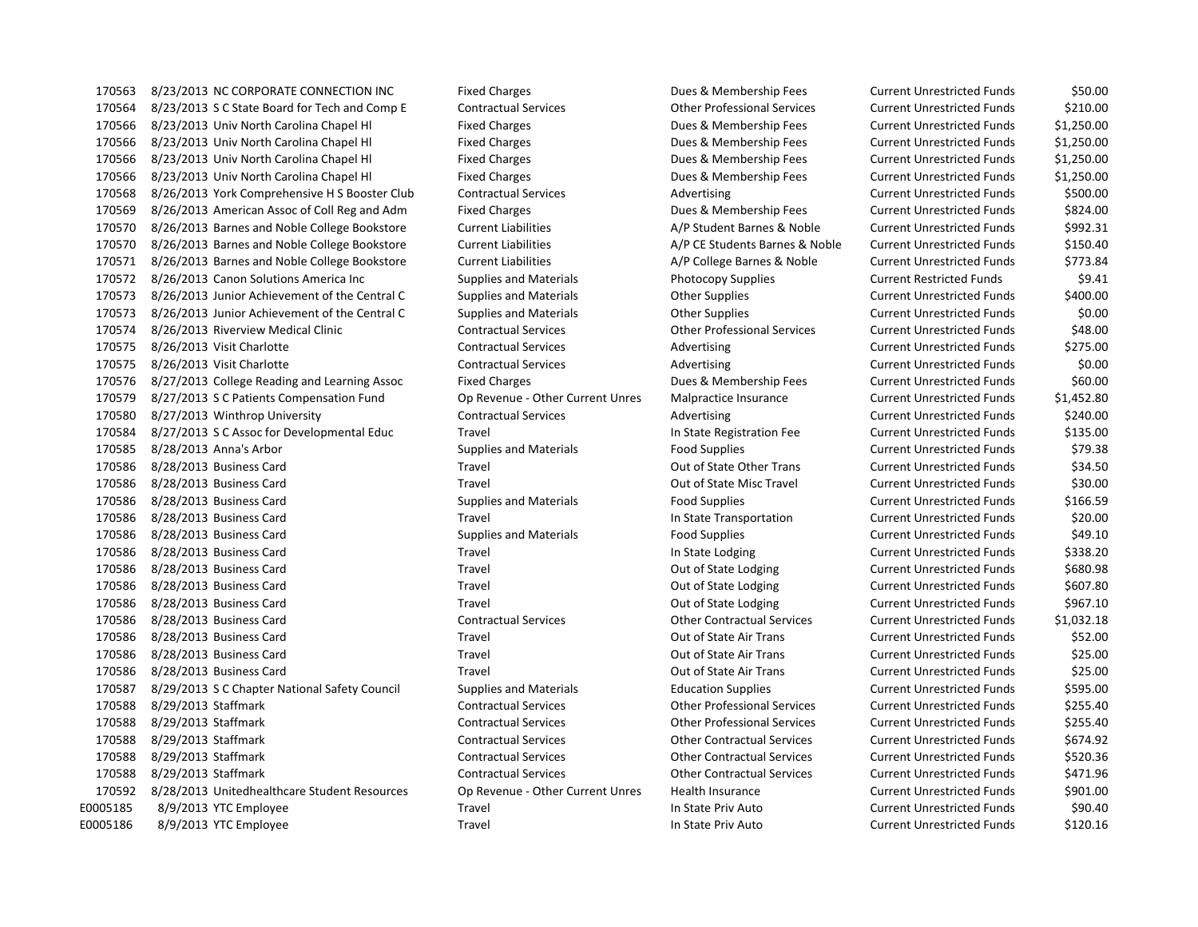8/23/2013 NC CORPORATE CONNECTION INC Fixed Charges Dues & Membership Fees Current Unrestricted Funds \$50.00 8/23/2013 S C State Board for Tech and Comp E Contractual Services Other Professional Services Current Unrestricted Funds \$210.00 8/23/2013 Univ North Carolina Chapel Hl Fixed Charges Dues & Membership Fees Current Unrestricted Funds \$1,250.00 8/23/2013 Univ North Carolina Chapel Hl Fixed Charges Dues & Membership Fees Current Unrestricted Funds \$1,250.00 8/23/2013 Univ North Carolina Chapel Hl Fixed Charges Dues & Membership Fees Current Unrestricted Funds \$1,250.00 8/23/2013 Univ North Carolina Chapel Hl Fixed Charges Dues & Membership Fees Current Unrestricted Funds \$1,250.00 170568 8/26/2013 York Comprehensive H S Booster Club Contractual Services Advertising Advertising Current Unrestricted Funds \$500.00 8/26/2013 American Assoc of Coll Reg and Adm Fixed Charges Dues & Membership Fees Current Unrestricted Funds \$824.00 170570 8/26/2013 Barnes and Noble College Bookstore Current Liabilities and A/P Student Barnes & Noble Current Unrestricted Funds \$992.31 8/26/2013 Barnes and Noble College Bookstore Current Liabilities A/P CE Students Barnes & Noble Current Unrestricted Funds \$150.40 170571 8/26/2013 Barnes and Noble College Bookstore Current Liabilities and A/P College Barnes & Noble Current Unrestricted Funds \$773.84 8/26/2013 Canon Solutions America Inc Supplies and Materials Photocopy Supplies Current Restricted Funds \$9.41 8/26/2013 Junior Achievement of the Central C Supplies and Materials Other Supplies Current Unrestricted Funds \$400.00 8/26/2013 Junior Achievement of the Central C Supplies and Materials Other Supplies Current Unrestricted Funds \$0.00 8/26/2013 Riverview Medical Clinic Contractual Services Other Professional Services Current Unrestricted Funds \$48.00 170575 8/26/2013 Visit Charlotte **Contractual Services** Advertising Current Unrestricted Funds \$275.00 170575 8/26/2013 Visit Charlotte **Contractual Services** Advertising Current Unrestricted Funds \$0.00 8/27/2013 College Reading and Learning Assoc Fixed Charges Dues & Membership Fees Current Unrestricted Funds \$60.00 8/27/2013 S C Patients Compensation Fund Op Revenue - Other Current Unres Malpractice Insurance Current Unrestricted Funds \$1,452.80 170580 8/27/2013 Winthrop University Contractual Services Advertising Current Unrestricted Funds \$240.00 8/27/2013 S C Assoc for Developmental Educ Travel In State Registration Fee Current Unrestricted Funds \$135.00 8/28/2013 Anna's Arbor Supplies and Materials Food Supplies Current Unrestricted Funds \$79.38 170586 8/28/2013 Business Card Travel Travel Travel Current Unrestricted Funds \$34.50 8/28/2013 Business Card Travel Out of State Misc Travel Current Unrestricted Funds \$30.00 170586 8/28/2013 Business Card Supplies and Materials Food Supplies Current Unrestricted Funds \$166.59 8/28/2013 Business Card Travel In State Transportation Current Unrestricted Funds \$20.00 8/28/2013 Business Card Supplies and Materials Food Supplies Current Unrestricted Funds \$49.10 170586 8/28/2013 Business Card Travel Travel Travel Travel In State Lodging Current Unrestricted Funds \$338.20 170586 8/28/2013 Business Card Travel Travel Travel Current Unrestricted Funds \$680.98 170586 8/28/2013 Business Card Travel Travel Travel Current Current Unrestricted Funds \$607.80 8/28/2013 Business Card Travel Out of State Lodging Current Unrestricted Funds \$967.10 8/28/2013 Business Card Contractual Services Other Contractual Services Current Unrestricted Funds \$1,032.18 8/28/2013 Business Card Travel Out of State Air Trans Current Unrestricted Funds \$52.00 8/28/2013 Business Card Travel Out of State Air Trans Current Unrestricted Funds \$25.00 170586 8/28/2013 Business Card Travel Travel Travel Current Unrestricted Funds \$25.00 8/29/2013 S C Chapter National Safety Council Supplies and Materials Education Supplies Current Unrestricted Funds \$595.00 8/29/2013 Staffmark Contractual Services Other Professional Services Current Unrestricted Funds \$255.40 8/29/2013 Staffmark Contractual Services Other Professional Services Current Unrestricted Funds \$255.40 8/29/2013 Staffmark Contractual Services Other Contractual Services Current Unrestricted Funds \$674.92 8/29/2013 Staffmark Contractual Services Other Contractual Services Current Unrestricted Funds \$520.36 8/29/2013 Staffmark Contractual Services Other Contractual Services Current Unrestricted Funds \$471.96 8/28/2013 Unitedhealthcare Student Resources Op Revenue - Other Current Unres Health Insurance Current Unrestricted Funds \$901.00 E0005185 8/9/2013 YTC Employee Travel Travel Travel In State Priv Auto Current Unrestricted Funds \$90.40 E0005186 8/9/2013 YTC Employee Travel Travel Travel In State Priv Auto Current Unrestricted Funds \$120.16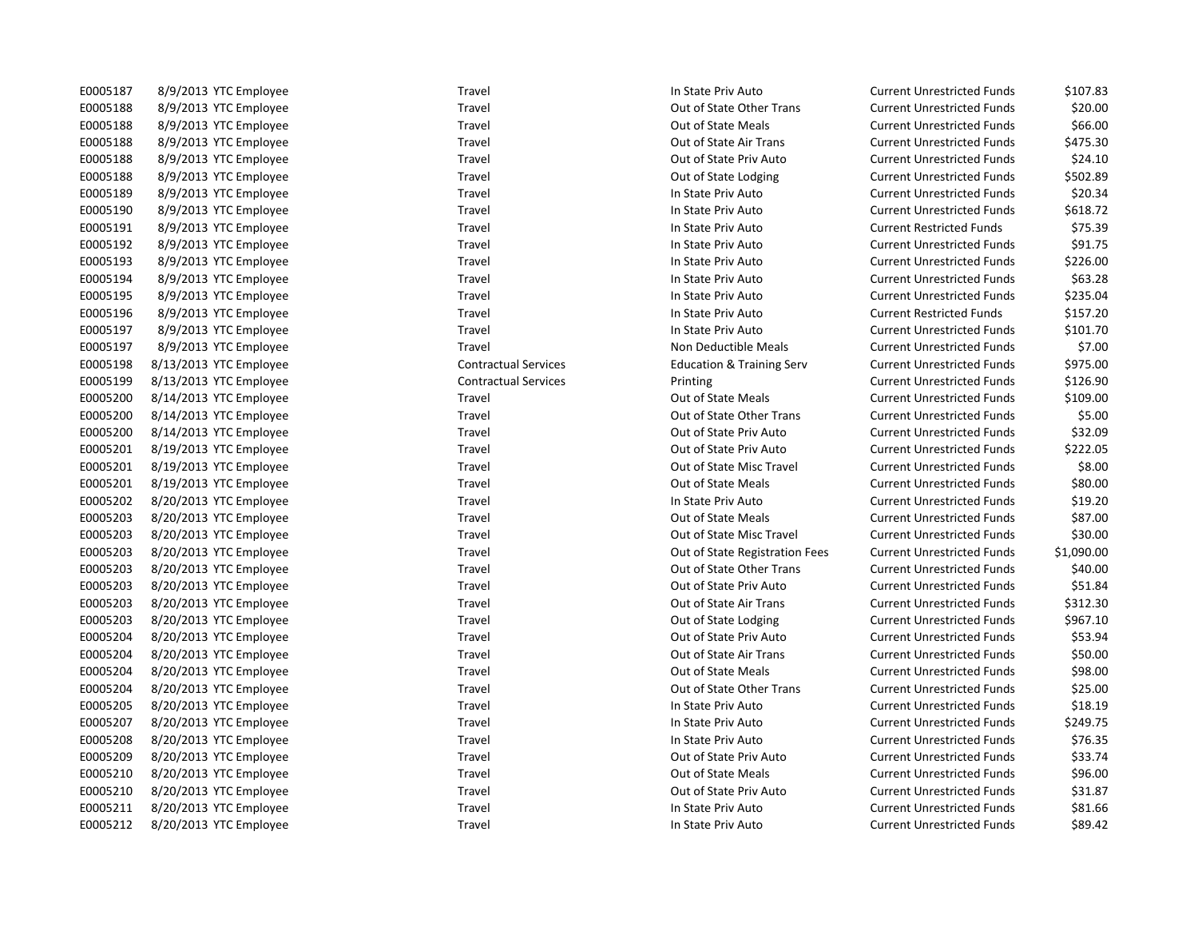| E0005187        | 8/9/2013<br>YTC Employee         |
|-----------------|----------------------------------|
| E0005188        | 8/9/2013<br><b>YTC Employee</b>  |
| E0005188        | 8/9/2013<br><b>YTC Employee</b>  |
| E0005188        | 8/9/2013<br><b>YTC Employee</b>  |
| E0005188        | 8/9/2013<br><b>YTC Employee</b>  |
| E0005188        | 8/9/2013<br><b>YTC Employee</b>  |
| E0005189        | 8/9/2013<br><b>YTC Employee</b>  |
| E0005190        | 8/9/2013<br><b>YTC Employee</b>  |
| E0005191        | 8/9/2013<br><b>YTC Employee</b>  |
| E0005192        | 8/9/2013<br><b>YTC Employee</b>  |
| E0005193        | 8/9/2013<br><b>YTC Employee</b>  |
| E0005194        | 8/9/2013<br><b>YTC Employee</b>  |
| E0005195        | 8/9/2013<br><b>YTC Employee</b>  |
| E0005196        | 8/9/2013<br><b>YTC Employee</b>  |
| E0005197        | 8/9/2013<br><b>YTC Employee</b>  |
| E0005197        | 8/9/2013<br><b>YTC Employee</b>  |
| E0005198        | 8/13/2013<br><b>YTC Employee</b> |
| E0005199        | 8/13/2013<br><b>YTC Employee</b> |
| E0005200        | 8/14/2013<br><b>YTC Employee</b> |
| E0005200        | 8/14/2013<br><b>YTC Employee</b> |
| E0005200        | 8/14/2013<br><b>YTC Employee</b> |
| E0005201        | 8/19/2013<br><b>YTC Employee</b> |
| E0005201        | 8/19/2013<br><b>YTC Employee</b> |
| E0005201        | 8/19/2013<br><b>YTC Employee</b> |
| E0005202        | 8/20/2013<br><b>YTC Employee</b> |
| E0005203        | 8/20/2013<br><b>YTC Employee</b> |
| E0005203        | 8/20/2013<br><b>YTC Employee</b> |
| E0005203        | 8/20/2013<br><b>YTC Employee</b> |
| E0005203        | 8/20/2013<br><b>YTC Employee</b> |
| E0005203        | <b>YTC Employee</b><br>8/20/2013 |
| E0005203        | 8/20/2013<br><b>YTC Employee</b> |
| E0005203        | 8/20/2013<br><b>YTC Employee</b> |
| E0005204        | 8/20/2013<br><b>YTC Employee</b> |
| E0005204        | 8/20/2013<br><b>YTC Employee</b> |
| E0005204        | 8/20/2013<br><b>YTC Employee</b> |
| E0005204        | 8/20/2013<br><b>YTC Employee</b> |
| E0005205        | 8/20/2013<br><b>YTC Employee</b> |
| E0005207        | 8/20/2013<br><b>YTC Employee</b> |
| E0005208        | 8/20/2013<br><b>YTC Employee</b> |
| E0005209        | 8/20/2013<br><b>YTC Employee</b> |
| E0005210        | 8/20/2013<br><b>YTC Employee</b> |
| E0005210        | 8/20/2013<br><b>YTC Employee</b> |
| E0005211        | 8/20/2013<br><b>YTC Employee</b> |
| <b>ENNA5212</b> | 8/20/2013<br><b>VTC Employee</b> |

Travel **EXECUTE:** In State Priv Auto **Current Unrestricted Funds** \$107.83 Travel **EXECUTE:** Travel Current Unrestricted Funds 520.00 E0005188 8/9/2013 YTC Employee Travel Out of State Meals Current Unrestricted Funds \$66.00 Travel **EXECUTE:** Travel Current Unrestricted Funds 5475.30 Travel **EXECUTE:** Travel Current Unrestricted Funds 524.10 Travel **EXECUTE:** Current Unrestricted Funds 5502.89 Travel **EXECUTE:** In State Priv Auto **Current Unrestricted Funds** \$20.34 E0005190 8/9/2013 YTC Employee Travel In State Priv Auto Current Unrestricted Funds \$618.72 E0005191 8/9/2013 YTC Employee Travel Travel Travel In State Priv Auto Current Restricted Funds \$75.39 E0005192 8/9/2013 YTC Employee Travel Travel Travel In State Priv Auto Current Unrestricted Funds \$91.75 E0005193 8/9/2013 YTC Employee Travel In State Priv Auto Current Unrestricted Funds \$226.00 E0005194 8/9/2013 YTC Employee Travel In State Priv Auto Current Unrestricted Funds \$63.28 E0005195 8/9/2013 YTC Employee Travel In State Priv Auto Current Unrestricted Funds \$235.04 E0005196 Travel Travel In State Priv Auto Current Restricted Funds \$157.20 Travel **End and State Priv Auto** Current Unrestricted Funds \$101.70 Travel **EXECUTE:** Non Deductible Meals Current Unrestricted Funds \$7.00 Contractual Services **Education & Training Serv** Current Unrestricted Funds \$975.00 Contractual Services **8/126.90** Printing **Current Unrestricted Funds** \$126.90 Travel **EXECUTE:** Cut of State Meals Current Unrestricted Funds \$109.00 Travel **EXECUTE:** Cut of State Other Trans Current Unrestricted Funds \$5.00 Travel **EXECUTE:** Cut of State Priv Auto Current Unrestricted Funds \$32.09 Travel **EXECONFIED STATES CONTENT BOOT CONTENT** Current Unrestricted Funds \$222.05 Travel **EXECUTE:** Cut of State Misc Travel Current Unrestricted Funds \$8.00 E0000 Travel COUT Out of State Meals Current Unrestricted Funds \$80.00 Example 1000 End of the State Priv Auto Current Unrestricted Funds \$19.20 E0005203 Travel COUT Out of State Meals Current Unrestricted Funds \$87.00 Travel **EXECOS ENDICES ACCORD ENDICATE CONSTRANGE TRAVEL CURRENT CONSTRANGE TRAVEL CURRENT CONSTRANGE TRAVEL AN** Travel **EXECO** 8 8000 8 2014 Out of State Registration Fees Current Unrestricted Funds \$1,090.00 Travel **EXECUTE:** Cut of State Other Trans Current Unrestricted Funds \$40.00 Travel **EXECOS ENDICES 2006** Out of State Priv Auto Current Unrestricted Funds \$51.84 Travel **EXECOS ENDICATE:** Out of State Air Trans Current Unrestricted Funds \$312.30 Travel **EXECUTE:** Cut of State Lodging Current Unrestricted Funds \$967.10 Travel **EXECO 800 ENDIO** Fravel Blues Current Unrestricted Funds 553.94 Travel **EXECO 800 8000 ENDIO Blue Air Trans** Current Unrestricted Funds \$50.00 Travel **EXECUTE:** Cut of State Meals Current Unrestricted Funds \$98.00 Travel **EXECOUSE SECONG BOOG BOOG BOOGLY CONSUMED SECONGLY** Current Unrestricted Funds \$25.00 E0005205 8/20/2013 YTC Employee Travel In State Priv Auto Current Unrestricted Funds \$18.19 E0005207 8/20/2013 YTC Employee Travel In State Priv Auto Current Unrestricted Funds \$249.75 Travel **EXECUTE:** In State Priv Auto **Current Unrestricted Funds** \$76.35 E0005209 8/20/2013 YTC Employee Travel Out of State Priv Auto Current Unrestricted Funds \$33.74 Travel **EXECUTE:** Cut of State Meals Current Unrestricted Funds \$96.00 Travel **EXECO 8.0006 2006** Out of State Priv Auto Current Unrestricted Funds \$31.87 Travel **End and State Priv Auto** Current Unrestricted Funds \$81.66 E0005212 8/20/2013 YTC Employee Travel Travel Travel Travel In State Priv Auto Current Unrestricted Funds \$89.42